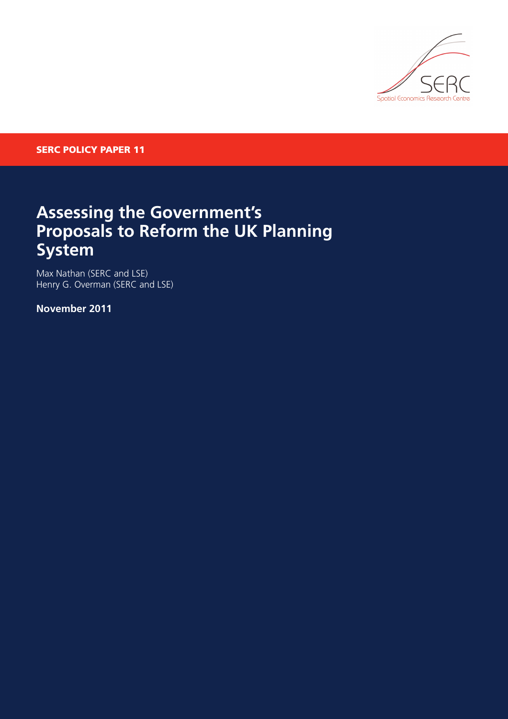

**SERC POLICY PAPER 11**

## **Assessing the Government's Proposals to Reform the UK Planning System**

Max Nathan (SERC and LSE) Henry G. Overman (SERC and LSE)

**November 2011**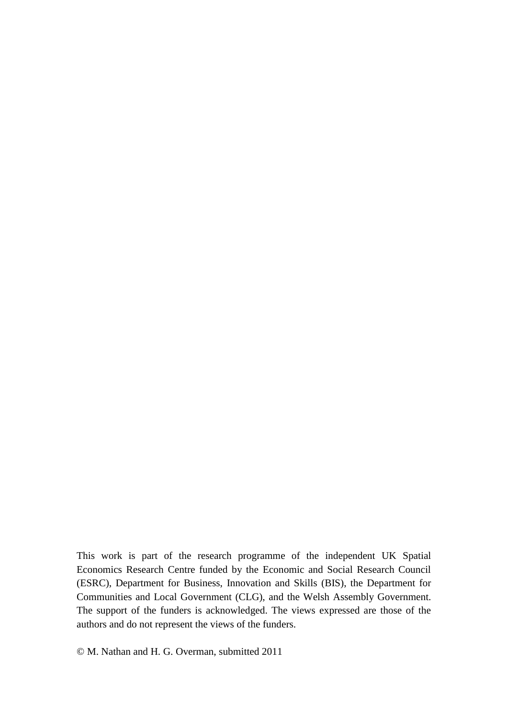This work is part of the research programme of the independent UK Spatial Economics Research Centre funded by the Economic and Social Research Council (ESRC), Department for Business, Innovation and Skills (BIS), the Department for Communities and Local Government (CLG), and the Welsh Assembly Government. The support of the funders is acknowledged. The views expressed are those of the authors and do not represent the views of the funders.

© M. Nathan and H. G. Overman, submitted 2011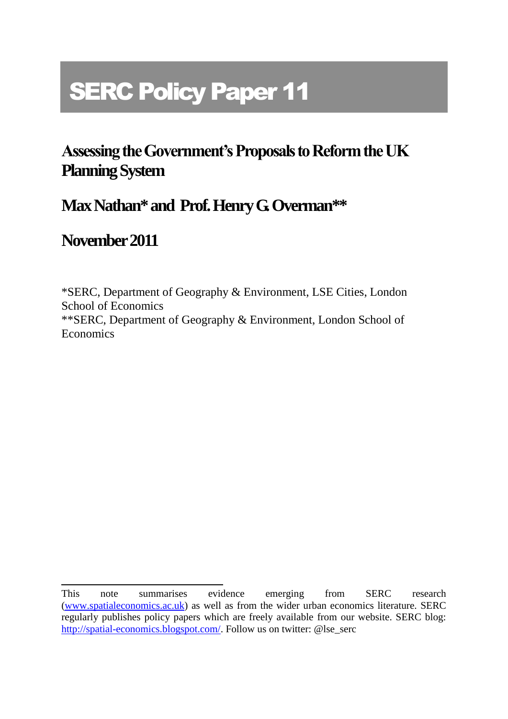# **SERC Policy Paper 11**

# **Assessing the Government's Proposals to Reform the UK Planning System**

### **Max Nathan\* and Prof. Henry G. Overman\*\***

### **November2011**

\*SERC, Department of Geography & Environment, LSE Cities, London School of Economics \*\*SERC, Department of Geography & Environment, London School of **Economics** 

This note summarises evidence emerging from SERC research [\(www.spatialeconomics.ac.uk\)](http://www.spatialeconomics.ac.uk/) as well as from the wider urban economics literature. SERC regularly publishes policy papers which are freely available from our website. SERC blog: [http://spatial-economics.blogspot.com/.](http://spatial-economics.blogspot.com/) Follow us on twitter: @lse\_serc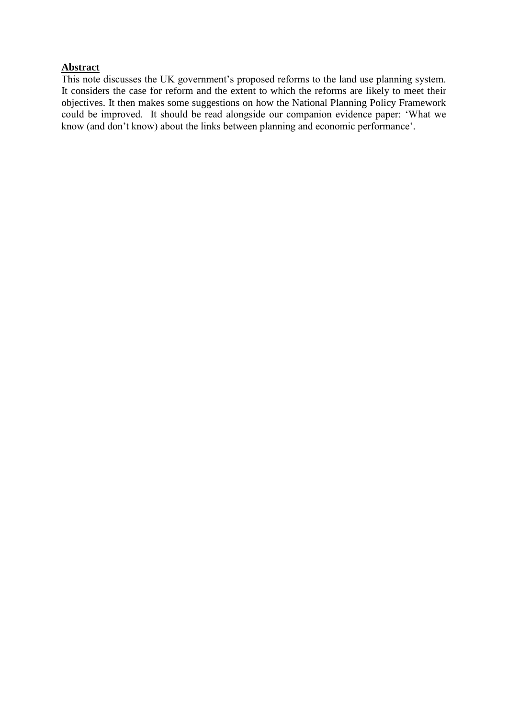#### **Abstract**

This note discusses the UK government's proposed reforms to the land use planning system. It considers the case for reform and the extent to which the reforms are likely to meet their objectives. It then makes some suggestions on how the National Planning Policy Framework could be improved. It should be read alongside our companion evidence paper: 'What we know (and don't know) about the links between planning and economic performance'.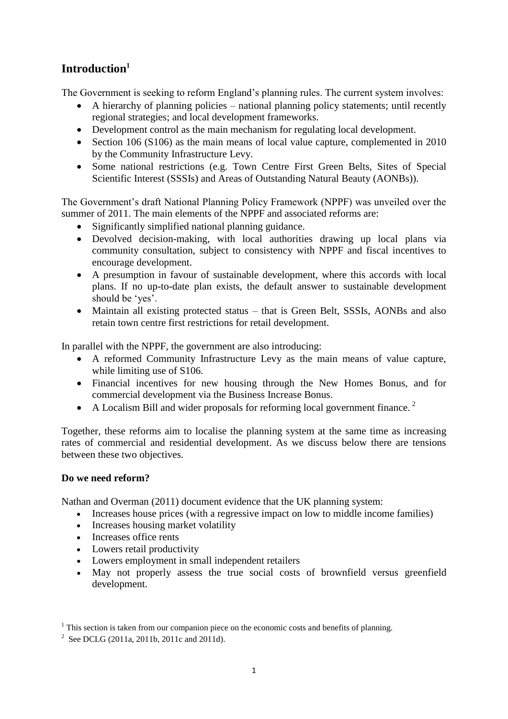### **Introduction<sup>1</sup>**

The Government is seeking to reform England's planning rules. The current system involves:

- A hierarchy of planning policies national planning policy statements; until recently regional strategies; and local development frameworks.
- Development control as the main mechanism for regulating local development.
- Section 106 (S106) as the main means of local value capture, complemented in 2010 by the Community Infrastructure Levy.
- Some national restrictions (e.g. Town Centre First Green Belts, Sites of Special Scientific Interest (SSSIs) and Areas of Outstanding Natural Beauty (AONBs)).

The Government's draft National Planning Policy Framework (NPPF) was unveiled over the summer of 2011. The main elements of the NPPF and associated reforms are:

- Significantly simplified national planning guidance.
- Devolved decision-making, with local authorities drawing up local plans via community consultation, subject to consistency with NPPF and fiscal incentives to encourage development.
- A presumption in favour of sustainable development, where this accords with local plans. If no up-to-date plan exists, the default answer to sustainable development should be 'yes'.
- Maintain all existing protected status that is Green Belt, SSSIs, AONBs and also retain town centre first restrictions for retail development.

In parallel with the NPPF, the government are also introducing:

- A reformed Community Infrastructure Levy as the main means of value capture, while limiting use of S106.
- Financial incentives for new housing through the New Homes Bonus, and for commercial development via the Business Increase Bonus.
- A Localism Bill and wider proposals for reforming local government finance.<sup>2</sup>

Together, these reforms aim to localise the planning system at the same time as increasing rates of commercial and residential development. As we discuss below there are tensions between these two objectives.

#### **Do we need reform?**

Nathan and Overman (2011) document evidence that the UK planning system:

- Increases house prices (with a regressive impact on low to middle income families)
- Increases housing market volatility
- Increases office rents
- Lowers retail productivity
- Lowers employment in small independent retailers
- May not properly assess the true social costs of brownfield versus greenfield development.

 $<sup>1</sup>$  This section is taken from our companion piece on the economic costs and benefits of planning.</sup>

<sup>&</sup>lt;sup>2</sup> See DCLG (2011a, 2011b, 2011c and 2011d).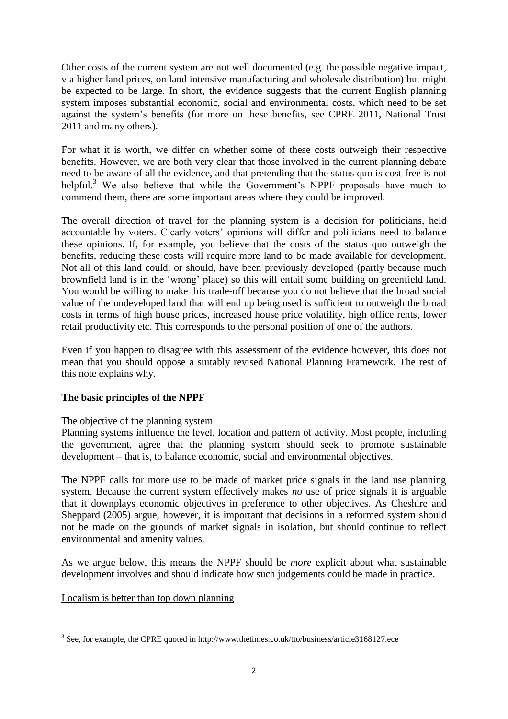Other costs of the current system are not well documented (e.g. the possible negative impact, via higher land prices, on land intensive manufacturing and wholesale distribution) but might be expected to be large. In short, the evidence suggests that the current English planning system imposes substantial economic, social and environmental costs, which need to be set against the system's benefits (for more on these benefits, see CPRE 2011, National Trust 2011 and many others).

For what it is worth, we differ on whether some of these costs outweigh their respective benefits. However, we are both very clear that those involved in the current planning debate need to be aware of all the evidence, and that pretending that the status quo is cost-free is not helpful.<sup>3</sup> We also believe that while the Government's NPPF proposals have much to commend them, there are some important areas where they could be improved.

The overall direction of travel for the planning system is a decision for politicians, held accountable by voters. Clearly voters' opinions will differ and politicians need to balance these opinions. If, for example, you believe that the costs of the status quo outweigh the benefits, reducing these costs will require more land to be made available for development. Not all of this land could, or should, have been previously developed (partly because much brownfield land is in the 'wrong' place) so this will entail some building on greenfield land. You would be willing to make this trade-off because you do not believe that the broad social value of the undeveloped land that will end up being used is sufficient to outweigh the broad costs in terms of high house prices, increased house price volatility, high office rents, lower retail productivity etc. This corresponds to the personal position of one of the authors.

Even if you happen to disagree with this assessment of the evidence however, this does not mean that you should oppose a suitably revised National Planning Framework. The rest of this note explains why.

#### **The basic principles of the NPPF**

#### The objective of the planning system

Planning systems influence the level, location and pattern of activity. Most people, including the government, agree that the planning system should seek to promote sustainable development – that is, to balance economic, social and environmental objectives.

The NPPF calls for more use to be made of market price signals in the land use planning system. Because the current system effectively makes *no* use of price signals it is arguable that it downplays economic objectives in preference to other objectives. As Cheshire and Sheppard (2005) argue, however, it is important that decisions in a reformed system should not be made on the grounds of market signals in isolation, but should continue to reflect environmental and amenity values.

As we argue below, this means the NPPF should be *more* explicit about what sustainable development involves and should indicate how such judgements could be made in practice.

#### Localism is better than top down planning

 $3$  See, for example, the CPRE quoted in http://www.thetimes.co.uk/tto/business/article3168127.ece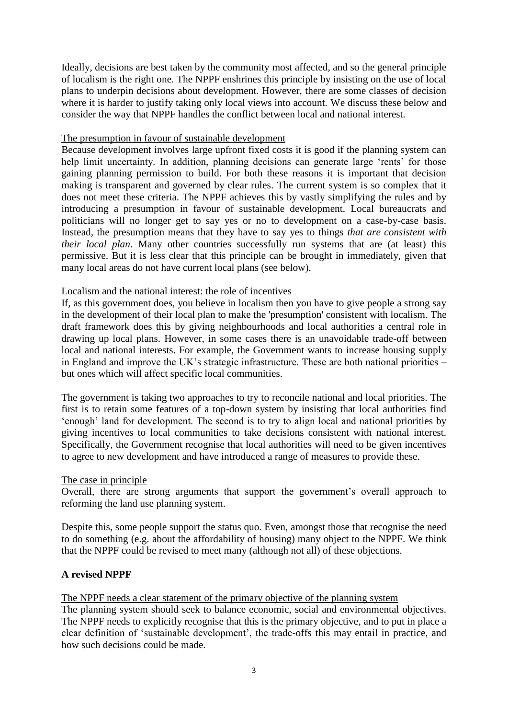Ideally, decisions are best taken by the community most affected, and so the general principle of localism is the right one. The NPPF enshrines this principle by insisting on the use of local plans to underpin decisions about development. However, there are some classes of decision where it is harder to justify taking only local views into account. We discuss these below and consider the way that NPPF handles the conflict between local and national interest.

#### The presumption in favour of sustainable development

Because development involves large upfront fixed costs it is good if the planning system can help limit uncertainty. In addition, planning decisions can generate large 'rents' for those gaining planning permission to build. For both these reasons it is important that decision making is transparent and governed by clear rules. The current system is so complex that it does not meet these criteria. The NPPF achieves this by vastly simplifying the rules and by introducing a presumption in favour of sustainable development. Local bureaucrats and politicians will no longer get to say yes or no to development on a case-by-case basis. Instead, the presumption means that they have to say yes to things *that are consistent with their local plan*. Many other countries successfully run systems that are (at least) this permissive. But it is less clear that this principle can be brought in immediately, given that many local areas do not have current local plans (see below).

#### Localism and the national interest: the role of incentives

If, as this government does, you believe in localism then you have to give people a strong say in the development of their local plan to make the 'presumption' consistent with localism. The draft framework does this by giving neighbourhoods and local authorities a central role in drawing up local plans. However, in some cases there is an unavoidable trade-off between local and national interests. For example, the Government wants to increase housing supply in England and improve the UK's strategic infrastructure. These are both national priorities – but ones which will affect specific local communities.

The government is taking two approaches to try to reconcile national and local priorities. The first is to retain some features of a top-down system by insisting that local authorities find 'enough' land for development. The second is to try to align local and national priorities by giving incentives to local communities to take decisions consistent with national interest. Specifically, the Government recognise that local authorities will need to be given incentives to agree to new development and have introduced a range of measures to provide these.

#### The case in principle

Overall, there are strong arguments that support the government's overall approach to reforming the land use planning system.

Despite this, some people support the status quo. Even, amongst those that recognise the need to do something (e.g. about the affordability of housing) many object to the NPPF. We think that the NPPF could be revised to meet many (although not all) of these objections.

#### **A revised NPPF**

The NPPF needs a clear statement of the primary objective of the planning system

The planning system should seek to balance economic, social and environmental objectives. The NPPF needs to explicitly recognise that this is the primary objective, and to put in place a clear definition of 'sustainable development', the trade-offs this may entail in practice, and how such decisions could be made.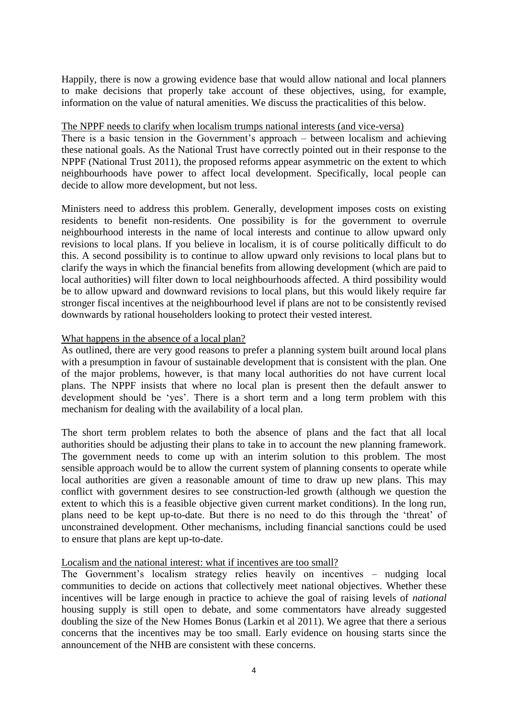Happily, there is now a growing evidence base that would allow national and local planners to make decisions that properly take account of these objectives, using, for example, information on the value of natural amenities. We discuss the practicalities of this below.

#### The NPPF needs to clarify when localism trumps national interests (and vice-versa)

There is a basic tension in the Government's approach – between localism and achieving these national goals. As the National Trust have correctly pointed out in their response to the NPPF (National Trust 2011), the proposed reforms appear asymmetric on the extent to which neighbourhoods have power to affect local development. Specifically, local people can decide to allow more development, but not less.

Ministers need to address this problem. Generally, development imposes costs on existing residents to benefit non-residents. One possibility is for the government to overrule neighbourhood interests in the name of local interests and continue to allow upward only revisions to local plans. If you believe in localism, it is of course politically difficult to do this. A second possibility is to continue to allow upward only revisions to local plans but to clarify the ways in which the financial benefits from allowing development (which are paid to local authorities) will filter down to local neighbourhoods affected. A third possibility would be to allow upward and downward revisions to local plans, but this would likely require far stronger fiscal incentives at the neighbourhood level if plans are not to be consistently revised downwards by rational householders looking to protect their vested interest.

#### What happens in the absence of a local plan?

As outlined, there are very good reasons to prefer a planning system built around local plans with a presumption in favour of sustainable development that is consistent with the plan. One of the major problems, however, is that many local authorities do not have current local plans. The NPPF insists that where no local plan is present then the default answer to development should be 'yes'. There is a short term and a long term problem with this mechanism for dealing with the availability of a local plan.

The short term problem relates to both the absence of plans and the fact that all local authorities should be adjusting their plans to take in to account the new planning framework. The government needs to come up with an interim solution to this problem. The most sensible approach would be to allow the current system of planning consents to operate while local authorities are given a reasonable amount of time to draw up new plans. This may conflict with government desires to see construction-led growth (although we question the extent to which this is a feasible objective given current market conditions). In the long run, plans need to be kept up-to-date. But there is no need to do this through the 'threat' of unconstrained development. Other mechanisms, including financial sanctions could be used to ensure that plans are kept up-to-date.

#### Localism and the national interest: what if incentives are too small?

The Government's localism strategy relies heavily on incentives – nudging local communities to decide on actions that collectively meet national objectives. Whether these incentives will be large enough in practice to achieve the goal of raising levels of *national*  housing supply is still open to debate, and some commentators have already suggested doubling the size of the New Homes Bonus (Larkin et al 2011). We agree that there a serious concerns that the incentives may be too small. Early evidence on housing starts since the announcement of the NHB are consistent with these concerns.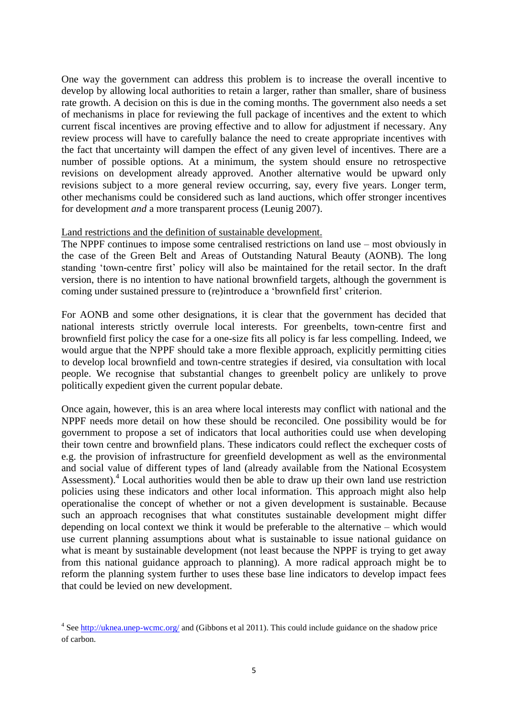One way the government can address this problem is to increase the overall incentive to develop by allowing local authorities to retain a larger, rather than smaller, share of business rate growth. A decision on this is due in the coming months. The government also needs a set of mechanisms in place for reviewing the full package of incentives and the extent to which current fiscal incentives are proving effective and to allow for adjustment if necessary. Any review process will have to carefully balance the need to create appropriate incentives with the fact that uncertainty will dampen the effect of any given level of incentives. There are a number of possible options. At a minimum, the system should ensure no retrospective revisions on development already approved. Another alternative would be upward only revisions subject to a more general review occurring, say, every five years. Longer term, other mechanisms could be considered such as land auctions, which offer stronger incentives for development *and* a more transparent process (Leunig 2007).

#### Land restrictions and the definition of sustainable development.

The NPPF continues to impose some centralised restrictions on land use – most obviously in the case of the Green Belt and Areas of Outstanding Natural Beauty (AONB). The long standing 'town-centre first' policy will also be maintained for the retail sector. In the draft version, there is no intention to have national brownfield targets, although the government is coming under sustained pressure to (re)introduce a 'brownfield first' criterion.

For AONB and some other designations, it is clear that the government has decided that national interests strictly overrule local interests. For greenbelts, town-centre first and brownfield first policy the case for a one-size fits all policy is far less compelling. Indeed, we would argue that the NPPF should take a more flexible approach, explicitly permitting cities to develop local brownfield and town-centre strategies if desired, via consultation with local people. We recognise that substantial changes to greenbelt policy are unlikely to prove politically expedient given the current popular debate.

Once again, however, this is an area where local interests may conflict with national and the NPPF needs more detail on how these should be reconciled. One possibility would be for government to propose a set of indicators that local authorities could use when developing their town centre and brownfield plans. These indicators could reflect the exchequer costs of e.g. the provision of infrastructure for greenfield development as well as the environmental and social value of different types of land (already available from the National Ecosystem Assessment).<sup>4</sup> Local authorities would then be able to draw up their own land use restriction policies using these indicators and other local information. This approach might also help operationalise the concept of whether or not a given development is sustainable. Because such an approach recognises that what constitutes sustainable development might differ depending on local context we think it would be preferable to the alternative – which would use current planning assumptions about what is sustainable to issue national guidance on what is meant by sustainable development (not least because the NPPF is trying to get away from this national guidance approach to planning). A more radical approach might be to reform the planning system further to uses these base line indicators to develop impact fees that could be levied on new development.

<sup>&</sup>lt;sup>4</sup> Se[e http://uknea.unep-wcmc.org/](http://uknea.unep-wcmc.org/) and (Gibbons et al 2011). This could include guidance on the shadow price of carbon.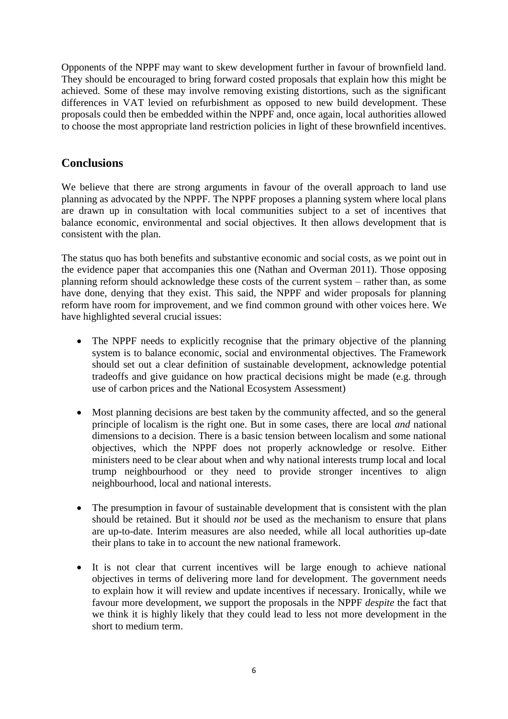Opponents of the NPPF may want to skew development further in favour of brownfield land. They should be encouraged to bring forward costed proposals that explain how this might be achieved. Some of these may involve removing existing distortions, such as the significant differences in VAT levied on refurbishment as opposed to new build development. These proposals could then be embedded within the NPPF and, once again, local authorities allowed to choose the most appropriate land restriction policies in light of these brownfield incentives.

### **Conclusions**

We believe that there are strong arguments in favour of the overall approach to land use planning as advocated by the NPPF. The NPPF proposes a planning system where local plans are drawn up in consultation with local communities subject to a set of incentives that balance economic, environmental and social objectives. It then allows development that is consistent with the plan.

The status quo has both benefits and substantive economic and social costs, as we point out in the evidence paper that accompanies this one (Nathan and Overman 2011). Those opposing planning reform should acknowledge these costs of the current system – rather than, as some have done, denying that they exist. This said, the NPPF and wider proposals for planning reform have room for improvement, and we find common ground with other voices here. We have highlighted several crucial issues:

- The NPPF needs to explicitly recognise that the primary objective of the planning system is to balance economic, social and environmental objectives. The Framework should set out a clear definition of sustainable development, acknowledge potential tradeoffs and give guidance on how practical decisions might be made (e.g. through use of carbon prices and the National Ecosystem Assessment)
- Most planning decisions are best taken by the community affected, and so the general principle of localism is the right one. But in some cases, there are local *and* national dimensions to a decision. There is a basic tension between localism and some national objectives, which the NPPF does not properly acknowledge or resolve. Either ministers need to be clear about when and why national interests trump local and local trump neighbourhood or they need to provide stronger incentives to align neighbourhood, local and national interests.
- The presumption in favour of sustainable development that is consistent with the plan should be retained. But it should *not* be used as the mechanism to ensure that plans are up-to-date. Interim measures are also needed, while all local authorities up-date their plans to take in to account the new national framework.
- It is not clear that current incentives will be large enough to achieve national objectives in terms of delivering more land for development. The government needs to explain how it will review and update incentives if necessary. Ironically, while we favour more development, we support the proposals in the NPPF *despite* the fact that we think it is highly likely that they could lead to less not more development in the short to medium term.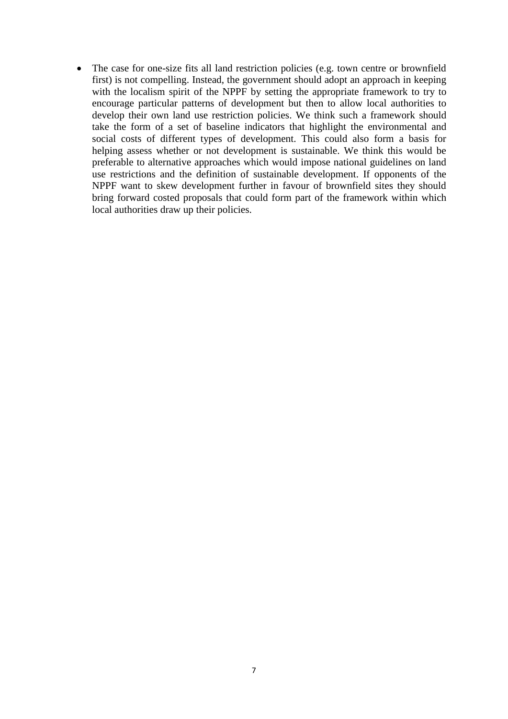• The case for one-size fits all land restriction policies (e.g. town centre or brownfield first) is not compelling. Instead, the government should adopt an approach in keeping with the localism spirit of the NPPF by setting the appropriate framework to try to encourage particular patterns of development but then to allow local authorities to develop their own land use restriction policies. We think such a framework should take the form of a set of baseline indicators that highlight the environmental and social costs of different types of development. This could also form a basis for helping assess whether or not development is sustainable. We think this would be preferable to alternative approaches which would impose national guidelines on land use restrictions and the definition of sustainable development. If opponents of the NPPF want to skew development further in favour of brownfield sites they should bring forward costed proposals that could form part of the framework within which local authorities draw up their policies.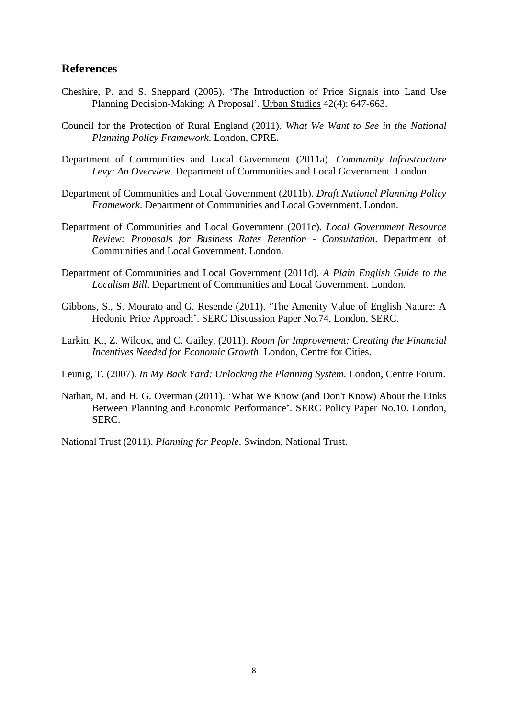#### **References**

- Cheshire, P. and S. Sheppard (2005). 'The Introduction of Price Signals into Land Use Planning Decision-Making: A Proposal'. Urban Studies 42(4): 647-663.
- Council for the Protection of Rural England (2011). *What We Want to See in the National Planning Policy Framework*. London, CPRE.
- Department of Communities and Local Government (2011a). *Community Infrastructure Levy: An Overview*. Department of Communities and Local Government. London.
- Department of Communities and Local Government (2011b). *Draft National Planning Policy Framework*. Department of Communities and Local Government. London.
- Department of Communities and Local Government (2011c). *Local Government Resource Review: Proposals for Business Rates Retention - Consultation*. Department of Communities and Local Government. London.
- Department of Communities and Local Government (2011d). *A Plain English Guide to the Localism Bill*. Department of Communities and Local Government. London.
- Gibbons, S., S. Mourato and G. Resende (2011). 'The Amenity Value of English Nature: A Hedonic Price Approach'. SERC Discussion Paper No.74. London, SERC.
- Larkin, K., Z. Wilcox, and C. Gailey. (2011). *Room for Improvement: Creating the Financial Incentives Needed for Economic Growth*. London, Centre for Cities.
- Leunig, T. (2007). *In My Back Yard: Unlocking the Planning System*. London, Centre Forum.
- Nathan, M. and H. G. Overman (2011). 'What We Know (and Don't Know) About the Links Between Planning and Economic Performance'. SERC Policy Paper No.10. London, SERC.

National Trust (2011). *Planning for People*. Swindon, National Trust.